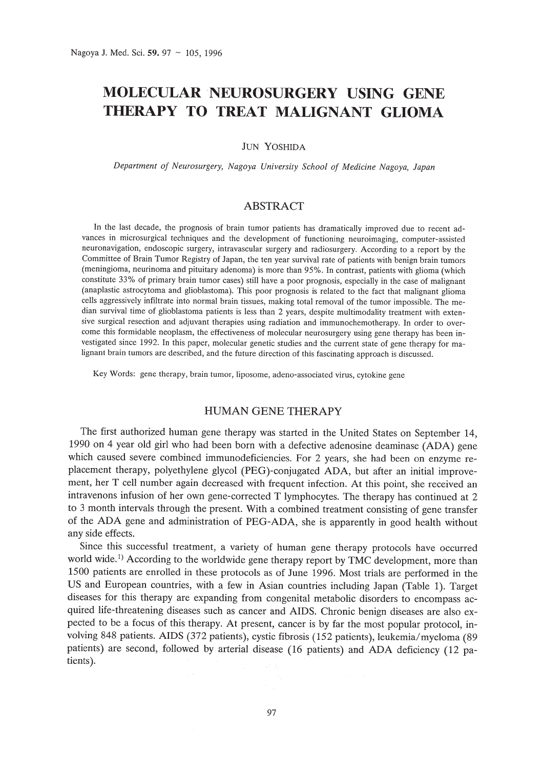# MOLECULAR NEUROSURGERY **USING GENE THERAPY TO TREAT MALIGNANT GLIOMA**

JUN YOSHIDA

*Department of Neurosurgery, Nagoya University School of Medicine Nagoya, Japan*

## ABSTRACT

In the last decade, the prognosis of brain tumor patients has dramatically improved due to recent advances in microsurgical techniques and the development of functioning neuroimaging, computer-assisted neuronavigation, endoscopic surgery, intravascular surgery and radiosurgery. According to a report by the Committee of Brain Tumor Registry of Japan, the ten year survival rate of patients with benign brain tumors (meningioma, neurinoma and pituitary adenoma) is more than 95%. In contrast, patients with glioma (which constitute 33% of primary brain tumor cases) still have a poor prognosis, especially in the case of malignant (anaplastic astrocytoma and glioblastoma). This poor prognosis is related to the fact that malignant glioma cells aggressively infiltrate into normal brain tissues, making total removal of the tumor impossible. The median survival time of glioblastoma patients is less than 2 years, despite multimodality treatment with extensive surgical resection and adjuvant therapies using radiation and immunochemotherapy. In order to overcome this formidable neoplasm, the effectiveness of molecular neurosurgery using gene therapy has been investigated since 1992. In this paper, molecular genetic studies and the current state of gene therapy for malignant brain tumors are described, and the future direction of this fascinating approach is discussed.

Key Words: gene therapy, brain tumor, liposome, adeno-associated virus, cytokine gene

# HUMAN GENE THERAPY

The first authorized human gene therapy was started in the United States on September 14, 1990 on 4 year old girl who had been born with a defective adenosine deaminase (ADA) gene which caused severe combined immunodeficiencies. For 2 years, she had been on enzyme replacement therapy, polyethylene glycol (PEG)-conjugated ADA, but after an initial improvement, her T cell number again decreased with frequent infection. At this point, she received an intravenons infusion of her own gene-corrected T lymphocytes. The therapy has continued at 2 to 3 month intervals through the present. With a combined treatment consisting of gene transfer of the ADA gene and administration of PEG-ADA, she is apparently in good health without any side effects.

Since this successful treatment, a variety of human gene therapy protocols have occurred world wide.<sup>1)</sup> According to the worldwide gene therapy report by TMC development, more than 1500 patients are enrolled in these protocols as of June 1996. Most trials are performed in the US and European countries, with a few in Asian countries including Japan (Table 1). Target diseases for this therapy are expanding from congenital metabolic disorders to encompass acquired life-threatening diseases such as cancer and AIDS. Chronic benign diseases are also expected to be a focus of this therapy. At present, cancer is by far the most popular protocol, involving 848 patients. AIDS (372 patients), cystic fibrosis (152 patients), leukemia/myeloma (89 patients) are second, followed by arterial disease (16 patients) and ADA deficiency (12 patients).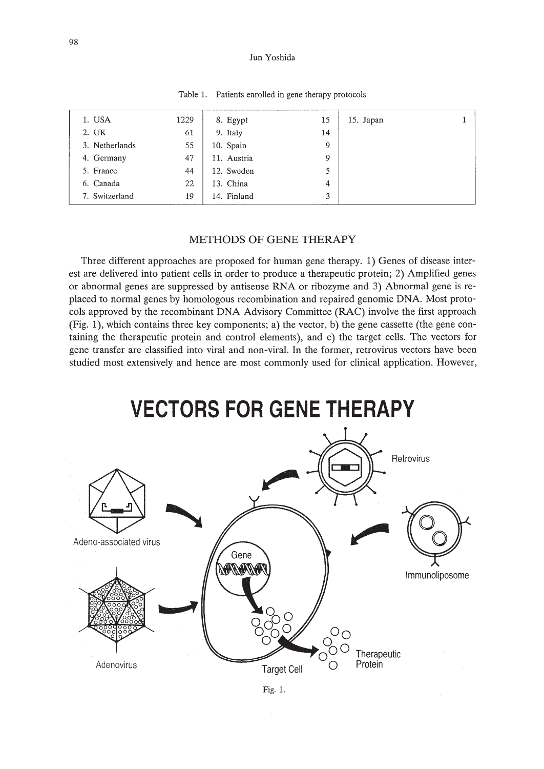#### Jun Yoshida

| 1. USA         | 1229 | 8. Egypt    | 15 | 15. Japan |  |
|----------------|------|-------------|----|-----------|--|
| 2. UK          | 61   | 9. Italy    | 14 |           |  |
| 3. Netherlands | 55   | 10. Spain   | 9  |           |  |
| 4. Germany     | 47   | 11. Austria | 9  |           |  |
| 5. France      | 44   | 12. Sweden  | 5  |           |  |
| 6. Canada      | 22   | 13. China   | 4  |           |  |
| 7. Switzerland | 19   | 14. Finland | 3  |           |  |
|                |      |             |    |           |  |

Table 1. Patients enrolled in gene therapy protocols

## METHODS OF GENE THERAPY

Three different approaches are proposed for human gene therapy. 1) Genes of disease interest are delivered into patient cells in order to produce a therapeutic protein; 2) Amplified genes or abnormal genes are suppressed by antisense RNA or ribozyme and 3) Abnormal gene is replaced to normal genes by homologous recombination and repaired genomic DNA. Most protocols approved by the recombinant DNA Advisory Committee (RAC) involve the first approach (Fig. 1), which contains three key components; a) the vector, b) the gene cassette (the gene containing the therapeutic protein and control elements), and c) the target cells. The vectors for gene transfer are classified into viral and non-viral. **In** the former, retrovirus vectors have been studied most extensively and hence are most commonly used for clinical application. However,

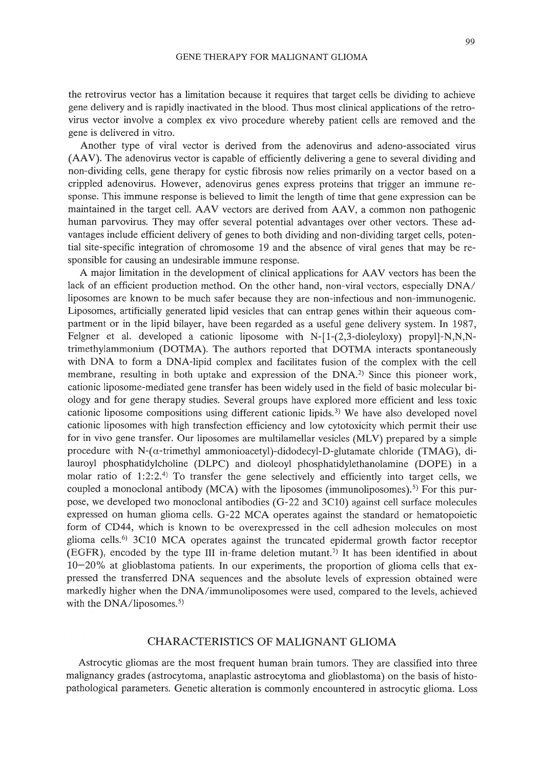the retrovirus vector has a limitation because it requires that target cells be dividing to achieve gene delivery and is rapidly inactivated in the blood. Thus most clinical applications of the retrovirus vector involve a complex ex vivo procedure whereby patient cells are removed and the gene is delivered in vitro.

Another type of viral vector is derived from the adenovirus and adeno-associated virus (AAV). The adenovirus vector is capable of efficiently delivering a gene to several dividing and non-dividing cells, gene therapy for cystic fibrosis now relies primarily on a vector based on a crippled adenovirus. However, adenovirus genes express proteins that trigger an immune response. This immune response is believed to limit the length of time that gene expression can be maintained in the target cell. AAV vectors are derived from AAV, a common non pathogenic human parvovirus. They may offer several potential advantages over other vectors. These advantages include efficient delivery of genes to both dividing and non-dividing target cells, potential site-specific integration of chromosome 19 and the absence of viral genes that may be responsible for causing an undesirable immune response.

A major limitation in the development of clinical applications for AAV vectors has been the lack of an efficient production method. On the other hand, non-viral vectors, especially DNA/ liposomes are known to be much safer because they are non-infectious and non-immunogenic. Liposomes, artificially generated lipid vesicles that can entrap genes within their aqueous compartment or in the lipid bilayer, have been regarded as a useful gene delivery system. In 1987, Feigner et al. developed a cationic liposome with  $N-[1-(2,3-di0eyl0xy)$  propyl $]-N,N,N$ trimethylammonium (DOTMA). The authors reported that DOTMA interacts spontaneously with DNA to form a DNA-lipid complex and facilitates fusion of the complex with the cell membrane, resulting in both uptake and expression of the DNA.<sup>2)</sup> Since this pioneer work, cationic liposome-mediated gene transfer has been widely used in the field of basic molecular biology and for gene therapy studies. Several groups have explored more efficient and less toxic cationic liposome compositions using different cationic lipids.<sup>3)</sup> We have also developed novel cationic liposomes with high transfection efficiency and low cytotoxicity which permit their use for in vivo gene transfer. Our liposomes are multilamellar vesicles (MLV) prepared by a simple procedure with N- $(\alpha$ -trimethyl ammonioacetyl)-didodecyl-D-glutamate chloride (TMAG), dilauroyl phosphatidylcholine (DLPC) and dioleoyl phosphatidylethanolamine (DOPE) in a molar ratio of 1:2:2.<sup>4)</sup> To transfer the gene selectively and efficiently into target cells, we coupled a monoclonal antibody (MCA) with the liposomes (immunoliposomes).<sup>5)</sup> For this purpose, we developed two monoclonal antibodies (G-22 and 3ClO) against cell surface molecules expressed on human glioma cells. G-22 MCA operates against the standard or hematopoietic form of CD44, which is known to be overexpressed in the cell adhesion molecules on most glioma cells.<sup>6)</sup> 3C10 MCA operates against the truncated epidermal growth factor receptor (EGFR), encoded by the type III in-frame deletion mutant.<sup>7)</sup> It has been identified in about 10-20% at glioblastoma patients. In our experiments, the proportion of glioma cells that expressed the transferred DNA sequences and the absolute levels of expression obtained were markedly higher when the DNA/immunoliposomes were used, compared to the levels, achieved with the DNA/liposomes.<sup>5)</sup>

## CHARACTERISTICS OF MALIGNANT GLIOMA

Astrocytic gliomas are the most frequent human brain tumors. They are classified into three malignancy grades (astrocytoma, anaplastic astrocytoma and glioblastoma) on the basis of histopathological parameters. Genetic alteration is commonly encountered in astrocytic glioma. Loss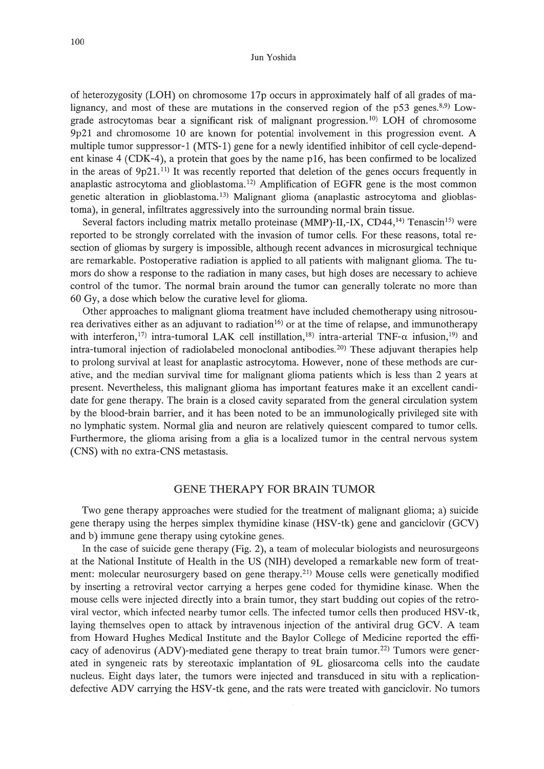#### lun Yoshida

of heterozygosity (LOH) on chromosome 17p occurs in approximately half of all grades of malignancy, and most of these are mutations in the conserved region of the  $p53$  genes.<sup>8,9)</sup> Lowgrade astrocytomas bear a significant risk of malignant progression.<sup>10</sup> LOH of chromosome 9p21 and chromosome 10 are known for potential involvement in this progression event. A multiple tumor suppressor-l (MTS-l) gene for a newly identified inhibitor of cell cycle-dependent kinase 4 (CDK-4), a protein that goes by the name p16, has been confirmed to be localized in the areas of  $9p21$ .<sup>11</sup> It was recently reported that deletion of the genes occurs frequently in anaplastic astrocytoma and glioblastoma.<sup>12)</sup> Amplification of EGFR gene is the most common genetic alteration in glioblastoma. 13) Malignant glioma (anaplastic astrocytoma and glioblastoma), in general, infiltrates aggressively into the surrounding normal brain tissue.

Several factors including matrix metallo proteinase  $(MMP)$ -II,-IX, CD44,<sup>14)</sup> Tenascin<sup>15)</sup> were reported to be strongly correlated with the invasion of tumor cells. For these reasons, total resection of gliomas by surgery is impossible, although recent advances in microsurgical technique are remarkable. Postoperative radiation is applied to all patients with malignant glioma. The tumors do show a response to the radiation in many cases, but high doses are necessary to achieve control of the tumor. The normal brain around the tumor can generally tolerate no more than 60 Gy, a dose which below the curative level for glioma.

Other approaches to malignant glioma treatment have included chemotherapy using nitrosourea derivatives either as an adjuvant to radiation<sup>16)</sup> or at the time of relapse, and immunotherapy with interferon,<sup>17)</sup> intra-tumoral LAK cell instillation,<sup>18)</sup> intra-arterial TNF- $\alpha$  infusion,<sup>19</sup>) and intra-tumoral injection of radiolabeled monoclonal antibodies. 20) These adjuvant therapies help to prolong survival at least for anaplastic astrocytoma. However, none of these methods are curative, and the median survival time for malignant glioma patients which is less than 2 years at present. Nevertheless, this malignant glioma has important features make it an excellent candidate for gene therapy. The brain is a closed cavity separated from the general circulation system by the blood-brain barrier, and it has been noted to be an immunologically privileged site with no lymphatic system. Normal glia and neuron are relatively quiescent compared to tumor cells. Furthermore, the glioma arising from a glia is a localized tumor in the central nervous system (CNS) with no extra-CNS metastasis.

## GENE THERAPY FOR BRAIN TUMOR

Two gene therapy approaches were studied for the treatment of malignant glioma; a) suicide gene therapy using the herpes simplex thymidine kinase (HSV-tk) gene and ganciclovir (GCV) and b) immune gene therapy using cytokine genes.

In the case of suicide gene therapy (Fig. 2), a team of molecular biologists and neurosurgeons at the National Institute of Health in the US (NIH) developed a remarkable new form of treatment: molecular neurosurgery based on gene therapy.<sup>21)</sup> Mouse cells were genetically modified by inserting a retroviral vector carrying a herpes gene coded for thymidine kinase. When the mouse cells were injected directly into a brain tumor, they start budding out copies of the retroviral vector, which infected nearby tumor cells. The infected tumor cells then produced HSV-tk, laying themselves open to attack by intravenous injection of the antiviral drug GCV. A team from Howard Hughes Medical Institute and the Baylor College of Medicine reported the efficacy of adenovirus (ADV)-mediated gene therapy to treat brain tumor.<sup>22)</sup> Tumors were generated in syngeneic rats by stereotaxic implantation of 9L gliosarcoma cells into the caudate nucleus. Eight days later, the tumors were injected and transduced in situ with a replicationdefective ADV carrying the HSV-tk gene, and the rats were treated with ganciclovir. No tumors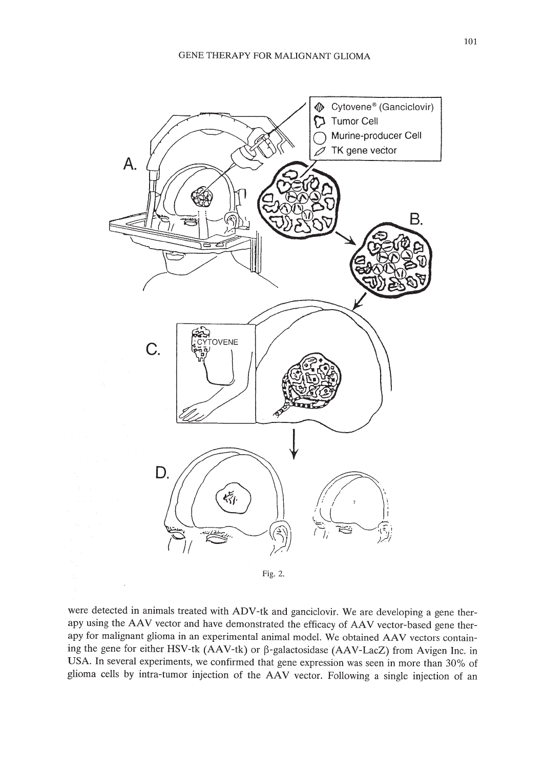

Fig. 2.

were detected in animals treated with ADV-tk and ganciclovir. We are developing a gene therapy using the AAV vector and have demonstrated the efficacy of AAV vector-based gene therapy for malignant glioma in an experimental animal model. We obtained AAV vectors containing the gene for either HSV-tk (AAV-tk) or  $\beta$ -galactosidase (AAV-LacZ) from Avigen Inc. in USA. **In** several experiments, we confirmed that gene expression was seen in more than 30% of glioma cells by intra-tumor injection of the AAV vector. Following a single injection of an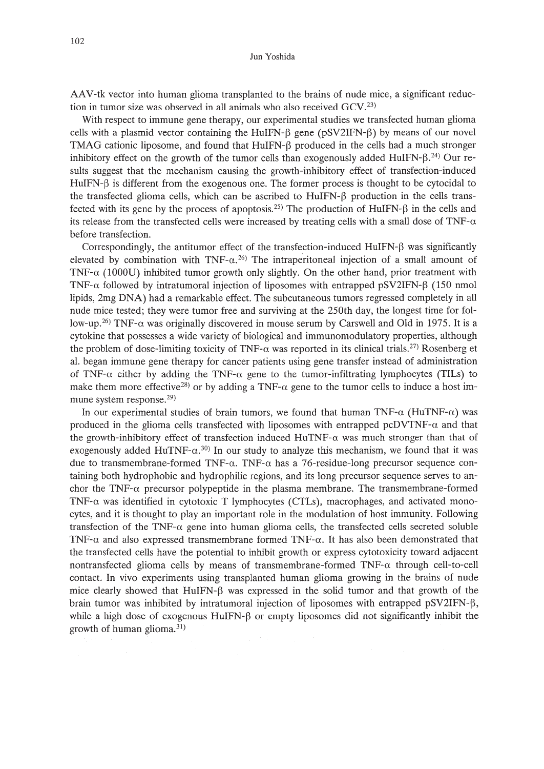#### lun Yoshida

AAV-tk vector into human glioma transplanted to the brains of nude mice, a significant reduction in tumor size was observed in all animals who also received GCV.<sup>23)</sup>

With respect to immune gene therapy, our experimental studies we transfected human glioma cells with a plasmid vector containing the HuIFN- $\beta$  gene (pSV2IFN- $\beta$ ) by means of our novel TMAG cationic liposome, and found that  $HulFN-\beta$  produced in the cells had a much stronger inhibitory effect on the growth of the tumor cells than exogenously added HuIFN- $\beta$ .<sup>24)</sup> Our results suggest that the mechanism causing the growth-inhibitory effect of transfection-induced  $HulFN-\beta$  is different from the exogenous one. The former process is thought to be cytocidal to the transfected glioma cells, which can be ascribed to HuIFN- $\beta$  production in the cells transfected with its gene by the process of apoptosis.<sup>25)</sup> The production of HuIFN- $\beta$  in the cells and its release from the transfected cells were increased by treating cells with a small dose of  $TNF-\alpha$ before transfection.

Correspondingly, the antitumor effect of the transfection-induced HuIFN- $\beta$  was significantly elevated by combination with  $TNF-\alpha$ .<sup>26)</sup> The intraperitoneal injection of a small amount of TNF- $\alpha$  (1000U) inhibited tumor growth only slightly. On the other hand, prior treatment with TNF- $\alpha$  followed by intratumoral injection of liposomes with entrapped pSV2IFN- $\beta$  (150 nmol lipids, 2mg DNA) had a remarkable effect. The subcutaneous tumors regressed completely in all nude mice tested; they were tumor free and surviving at the 250th day, the longest time for follow-up.<sup>26)</sup> TNF- $\alpha$  was originally discovered in mouse serum by Carswell and Old in 1975. It is a cytokine that possesses a wide variety of biological and immunomodulatory properties, although the problem of dose-limiting toxicity of TNF- $\alpha$  was reported in its clinical trials.<sup>27</sup> Rosenberg et al. began immune gene therapy for cancer patients using gene transfer instead of administration of TNF- $\alpha$  either by adding the TNF- $\alpha$  gene to the tumor-infiltrating lymphocytes (TILs) to make them more effective<sup>28</sup> or by adding a TNF- $\alpha$  gene to the tumor cells to induce a host immune system response.29)

In our experimental studies of brain tumors, we found that human TNF- $\alpha$  (HuTNF- $\alpha$ ) was produced in the glioma cells transfected with liposomes with entrapped  $pCDVTNF-\alpha$  and that the growth-inhibitory effect of transfection induced HuTNF- $\alpha$  was much stronger than that of exogenously added HuTNF- $\alpha$ ,<sup>30</sup>) In our study to analyze this mechanism, we found that it was due to transmembrane-formed TNF- $\alpha$ . TNF- $\alpha$  has a 76-residue-long precursor sequence containing both hydrophobic and hydrophilic regions, and its long precursor sequence serves to anchor the TNF- $\alpha$  precursor polypeptide in the plasma membrane. The transmembrane-formed TNF- $\alpha$  was identified in cytotoxic T lymphocytes (CTLs), macrophages, and activated monocytes, and it is thought to play an important role in the modulation of host immunity. Following transfection of the TNF- $\alpha$  gene into human glioma cells, the transfected cells secreted soluble TNF- $\alpha$  and also expressed transmembrane formed TNF- $\alpha$ . It has also been demonstrated that the transfected cells have the potential to inhibit growth or express cytotoxicity toward adjacent nontransfected glioma cells by means of transmembrane-formed  $TNF-\alpha$  through cell-to-cell contact. In vivo experiments using transplanted human glioma growing in the brains of nude mice clearly showed that HuIFN- $\beta$  was expressed in the solid tumor and that growth of the brain tumor was inhibited by intratumoral injection of liposomes with entrapped pSV2IFN- $\beta$ , while a high dose of exogenous HuIFN- $\beta$  or empty liposomes did not significantly inhibit the growth of human glioma. $31$ )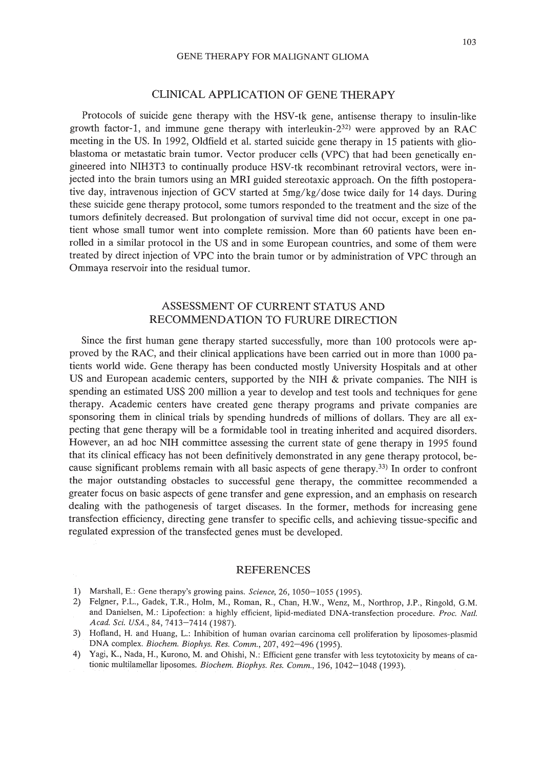#### GENE THERAPY FOR MALIGNANT GLIOMA

### CLINICAL APPLICATION OF GENE THERAPY

Protocols of suicide gene therapy with the HSV-tk gene, antisense therapy to insulin-like growth factor-1, and immune gene therapy with interleukin- $2^{32}$  were approved by an RAC meeting in the US. In 1992, Oldfield et al. started suicide gene therapy in 15 patients with glioblastoma or metastatic brain tumor. Vector producer cells (VPC) that had been genetically engineered into NIH3T3 to continually produce HSV-tk recombinant retroviral vectors, were injected into the brain tumors using an MRI guided stereotaxic approach. On the fifth postoperative day, intravenous injection of GCV started at 5mg/kg/dose twice daily for 14 days. During these suicide gene therapy protocol, some tumors responded to the treatment and the size of the tumors definitely decreased. But prolongation of survival time did not occur, except in one patient whose small tumor went into complete remission. More than 60 patients have been enrolled in a similar protocol in the US and in some European countries, and some of them were treated by direct injection of VPC into the brain tumor or by administration of VPC through an Ommaya reservoir into the residual tumor.

# ASSESSMENT OF CURRENT STATUS AND RECOMMENDATION TO FURURE DIRECTION

Since the first human gene therapy started successfully, more than 100 protocols were approved by the RAC, and their clinical applications have been carried out in more than 1000 patients world wide. Gene therapy has been conducted mostly University Hospitals and at other US and European academic centers, supported by the NIH  $\&$  private companies. The NIH is spending an estimated USS 200 million a year to develop and test tools and techniques for gene therapy. Academic centers have created gene therapy programs and private companies are sponsoring them in clinical trials by spending hundreds of millions of dollars. They are all expecting that gene therapy will be a formidable tool in treating inherited and acquired disorders. However, an ad hoc NIH committee assessing the current state of gene therapy in 1995 found that its clinical efficacy has not been definitively demonstrated in any gene therapy protocol, because significant problems remain with all basic aspects of gene therapy.33) In order to confront the major outstanding obstacles to successful gene therapy, the committee recommended a greater focus on basic aspects of gene transfer and gene expression, and an emphasis on research dealing with the pathogenesis of target diseases. In the former, methods for increasing gene transfection efficiency, directing gene transfer to specific cells, and achieving tissue-specific and regulated expression of the transfected genes must be developed.

#### REFERENCES

- 1) Marshall, E.: Gene therapy's growing pains. *Science,* 26,1050-1055 (1995).
- 2) Feigner, P.L., Gadek, T.R., Holm, M., Roman, R., Chan, H.W., Wenz, M., Northrop, J.P., Ringold, G.M. and Danielsen, M.: Lipofection: a highly efficient, lipid-mediated DNA-transfection procedure. *Proc. Nal/. Acad. Sci. USA.,* 84, 7413-7414 (1987).
- 3) Hofland, H. and Huang, L.: Inhibition of human ovarian carcinoma cell proliferation by liposomes-plasmid DNA complex. *Biochem. Biophys. Res. Comm.,* 207,492-496 (1995).
- 4) Yagi, K., Nada, H., Kurono, M. and Ohishi, N.: Efficient gene transfer with less tcytotoxicity by means of cationic multilamellar liposomes. *Biochem. Biophys. Res. Comm.,* 196, 1042-1048 (1993).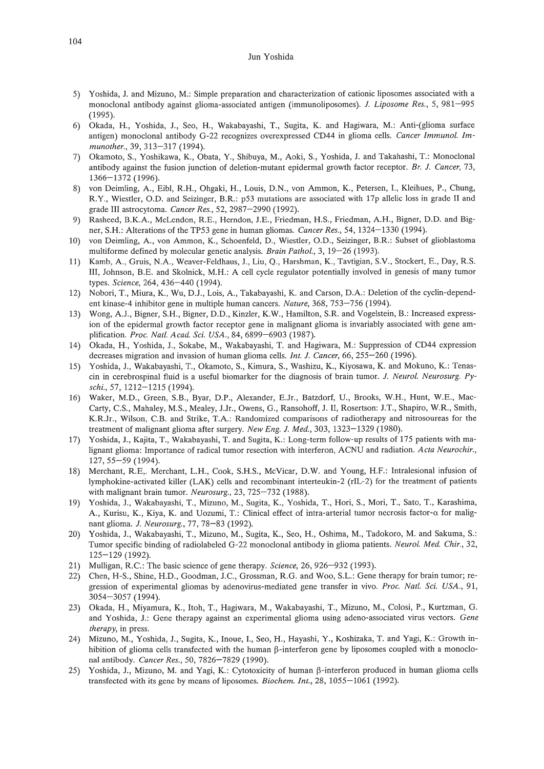#### Jun Yoshida

- 5) Yoshida, J. and Mizuno, M.: Simple preparation and characterization of cationic liposomes associated with a monoclonal antibody against glioma-associated antigen (immunoliposomes). J. *Liposome Res.,* 5, 981-995 (1995).
- 6) Okada, H., Yoshida, J., Seo, H., Wakabayashi, T., Sugita, K. and Hagiwara, M.: Anti-(glioma surface antigen) monoclonal antibody G-22 recognizes overexpressed CD44 in glioma cells. *Cancer Immunol. lmmunother.,* 39, 313-317 (1994).
- 7) Okamoto, *S.,* Yoshikawa, K., Obata, Y., Shibuya, M., Aoki, *S.,* Yoshida, J. and Takahashi, T.: Monoclonal antibody against the fusion junction of deletion-mutant epidermal growth factor receptor. *Br.* J. *Cancer, 73,* 1366-1372 (1996).
- 8) von Deimling, A., Eibl, R.H., Ohgaki, H., Louis, D.N., von Ammon, K., Petersen, 1., Kleihues, P., Chung, R.Y., Wiestler, O.D. and Seizinger, B.R.: p53 mutations are associated with 17p allelic loss in grade II and grade III astrocytoma. *Cancer Res.,* 52, 2987-2990 (1992).
- 9) Rasheed, B.K.A, McLendon, R.E., Herndon, J.E., Friedman, H.S., Friedman, A.H., Bigner, D.O. and Bigner, S.H.: Alterations of the TP53 gene in human gliomas. *Cancer Res.,* 54,1324-1330 (1994).
- 10) von Deimling, A, von Ammon, K., Schoenfeld, D., Wiestler, 0.0., Seizinger, B.R.: Subset of glioblastoma multiforme defined by molecular genetic analysis. *Brain Pathol.,* 3, 19-26 (1993).
- 11) Kamb, A, Gruis, N.A, Weaver-Feldhaus, J., Liu, Q., Harshman, K., Tavtigian, S.V., Stockert, E., Day, R.S. Ill, Johnson, B.E. and Skolnick, M.H.: A cell cycle regulator potentially involved in genesis of many tumor types. *Science,* 264,436-440 (1994).
- 12) Nobori, T., Miura, K., Wu, OJ., Lois, A., Takabayashi, K. and Carson, D.A: Deletion of the cyclin-dependent kinase-4 inhibitor gene in multiple human cancers. *Nature,* 368, 753-756 (1994).
- 13) Wong, AJ., Bigner, S.H., Bigner, D.O., Kinzler, K.W., Hamilton, S.R. and Vogelstein, B.: Increased expression of the epidermal growth factor receptor gene in malignant glioma is invariably associated with gene amplification. *Proc. Natl. Acad. Sci. USA.,* 84, 6899-6903 (1987).
- 14) Okada, H., Yoshida, J., Sokabe, M., Wakabayashi, T. and Hagiwara, M.: Suppression of CD44 expression decreases migration and invasion of human glioma cells. *Int.* J. *Cancer,* 66, 255-260 (1996).
- 15) Yoshida, J., Wakabayashi, T., Okamoto, *S.,* Kimura, *S.,* Washizu, K., Kiyosawa, K. and Mokuno, K.: Tenascin in cerebrospinal fluid is a useful biomarker for the diagnosis of brain tumor. J. *Neurol. Neurosurg. Pyschi.,* 57, 1212-1215 (1994).
- 16) Waker, M.D., Green, S.B., Byar, D.P., Alexander, E.Jr., Batzdorf, U., Brooks, W.H., Hunt, W.E., Mac-Carty, C.S., Mahaley, M.S., Mealey, JJr., Owens, G., Ransohoff, J. II, Rosertson: J.T., Shapiro, W.R., Smith, K.RJr., Wilson, c.B. and Strike, T.A.: Randomized comparisons of radiotherapy and nitrosoureas for the treatment of malignant glioma after surgery. *New Eng.* J. *Med.,* 303, 1323-1329 (1980).
- 17) Yoshida, J., Kajita, T., Wakabayashi, T. and Sugita, K.: Long-term follow-up results of 175 patients with malignant glioma: Imp0rlance of radical tumor resection with interferon, ACNU and radiation. *Acta Neurochir.,* 127,55-59 (1994).
- 18) Merchant, R.E,. Merchant, L.H., Cook, S.H.S., McVicar, D.W. and Young, H.F.: Intralesional infusion of lymphokine-activated killer (LAK) cells and recombinant interteukin-2 (rlL-2) for the treatment of patients with malignant brain tumor. *Neurosurg.,* 23, 725-732 (1988).
- 19) Yoshida, J., Wakabayashi, T., Mizuno, M., Sugita, K., Yoshida, T., Hori, *S.,* Mori, T., Sato, T., Karashima, A., Kurisu, K., Kiya, K. and Uozumi, T.: Clinical effect of intra-arterial tumor necrosis factor-a for malignant glioma. J. *Neurosurg.,* 77, 78-83 (1992).
- 20) Yoshida, J., Wakabayashi, T., Mizuno, M., Sugita, K., Seo, H., Oshima, M., Tadokoro, M. and Sakuma, S.: Tumor specific binding of radiolabeled G-22 monoclonal antibody in glioma patients. *Neurol. Med. Chir., 32,* 125-129 (1992).
- 21) Mulligan, R.C.: The basic science of gene therapy. *Science,* 26, 926-932 (1993).
- 22) Chen, H-S., Shine, H.D., Goodman, J.C., Grossman, R.G. and Woo, S.L.: Gene therapy for brain tumor; regression of experimental gliomas by adenovirus-mediated gene transfer in vivo. *Proc. Natl. Sci. USA., 91,* 3054-3057 (1994).
- 23) Okada, H., Miyamura, K., Itoh, T., Hagiwara, M., Wakabayashi, T., Mizuno, M., Colosi, P., Kurtzman, G. and Yoshida, J.: Gene therapy against an experimental glioma using adeno-associated virus vectors. *Gene therapy,* in press.
- 24) Mizuno, M., Yoshida, 1., Sugita, K., Inoue, 1., Seo, H., Hayashi, Y., Koshizaka, T. and Yagi, K.: Growth inhibition of glioma cells transfected with the human  $\beta$ -interferon gene by liposomes coupled with a monoclonal antibody. *Cancer Res.,* 50, 7826-7829 (1990).
- 25) Yoshida, J., Mizuno, M. and Yagi, K.: Cytotoxicity of human  $\beta$ -interferon produced in human glioma cells transfected with its gene by means of liposomes. *Biochem. Int.,* 28, 1055-1061 (1992).